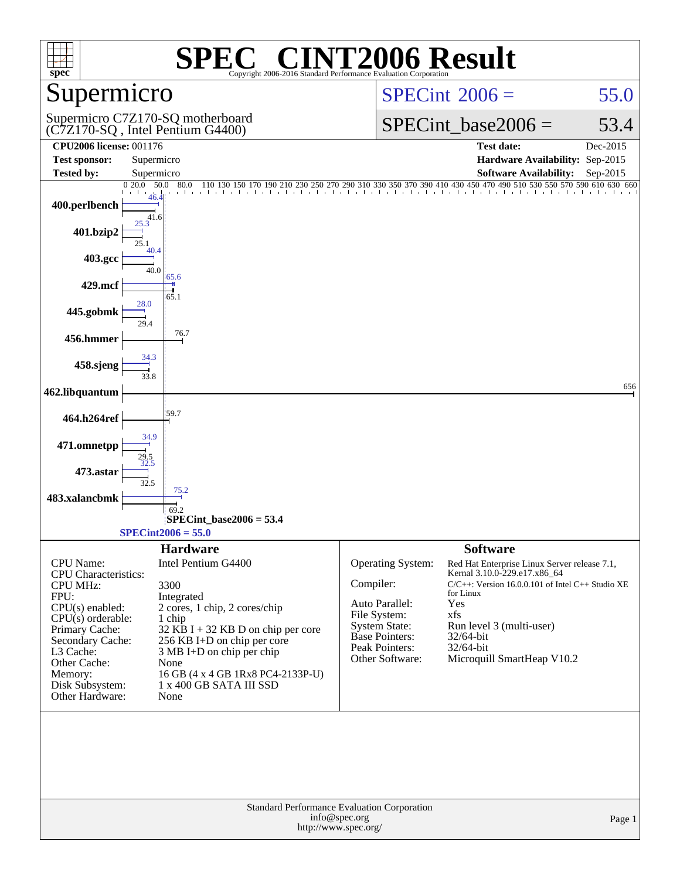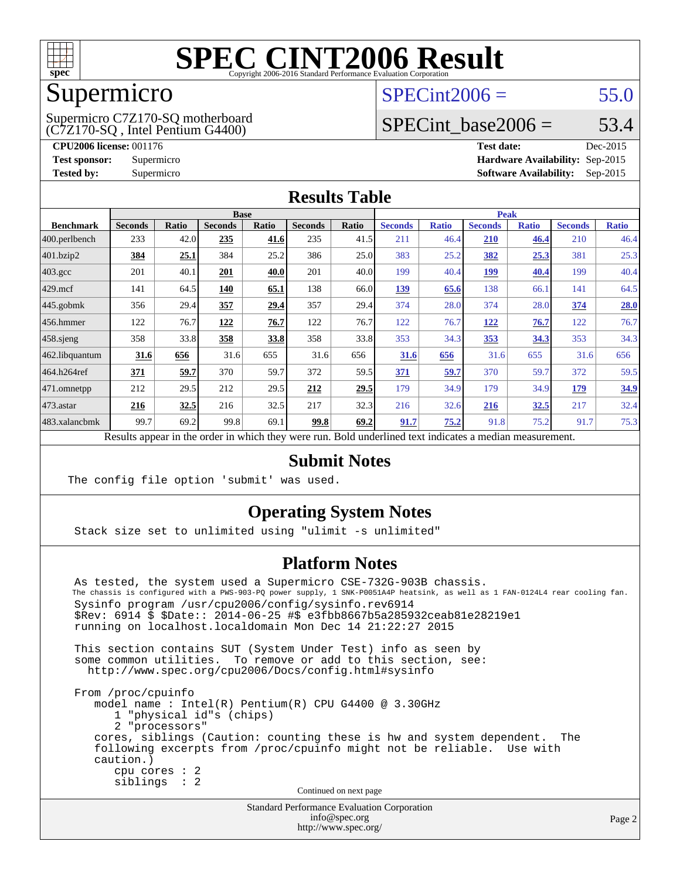

# Supermicro

#### (C7Z170-SQ , Intel Pentium G4400) Supermicro C7Z170-SQ motherboard

 $SPECint2006 = 55.0$  $SPECint2006 = 55.0$ 

### SPECint base2006 =  $53.4$

**[CPU2006 license:](http://www.spec.org/auto/cpu2006/Docs/result-fields.html#CPU2006license)** 001176 **[Test date:](http://www.spec.org/auto/cpu2006/Docs/result-fields.html#Testdate)** Dec-2015 **[Test sponsor:](http://www.spec.org/auto/cpu2006/Docs/result-fields.html#Testsponsor)** Supermicro **[Hardware Availability:](http://www.spec.org/auto/cpu2006/Docs/result-fields.html#HardwareAvailability)** Sep-2015 **[Tested by:](http://www.spec.org/auto/cpu2006/Docs/result-fields.html#Testedby)** Supermicro **Supermicro [Software Availability:](http://www.spec.org/auto/cpu2006/Docs/result-fields.html#SoftwareAvailability)** Sep-2015

#### **[Results Table](http://www.spec.org/auto/cpu2006/Docs/result-fields.html#ResultsTable)**

| <b>Base</b>    |       |                |       |                |                      | <b>Peak</b>    |                                              |                |                                                                              |                |              |
|----------------|-------|----------------|-------|----------------|----------------------|----------------|----------------------------------------------|----------------|------------------------------------------------------------------------------|----------------|--------------|
| <b>Seconds</b> | Ratio | <b>Seconds</b> | Ratio | <b>Seconds</b> | Ratio                | <b>Seconds</b> | <b>Ratio</b>                                 | <b>Seconds</b> | <b>Ratio</b>                                                                 | <b>Seconds</b> | <b>Ratio</b> |
| 233            | 42.0  | 235            | 41.6  | 235            |                      | 211            |                                              | 210            | 46.4                                                                         | 210            | 46.4         |
| 384            | 25.1  | 384            | 25.2  | 386            |                      | 383            |                                              | 382            | 25.3                                                                         | 381            | 25.3         |
| 201            | 40.1  | 201            | 40.0  | 201            |                      | 199            |                                              | <u> 199</u>    | 40.4                                                                         | 199            | 40.4         |
| 141            | 64.5  | 140            | 65.1  | 138            |                      | 139            |                                              | 138            | 66.1                                                                         | 141            | 64.5         |
| 356            | 29.4  | 357            | 29.4  | 357            | 29.4                 | 374            |                                              | 374            | 28.0                                                                         | 374            | 28.0         |
| 122            | 76.7  | 122            | 76.7  | 122            | 76.7                 | 122            |                                              | <u> 122</u>    | 76.7                                                                         | 122            | 76.7         |
| 358            |       | 358            | 33.8  | 358            | 33.8                 | 353            |                                              | 353            | <u>34.3</u>                                                                  | 353            | 34.3         |
| 31.6           | 656   | 31.6           | 655   | 31.6           | 656                  | 31.6           | 656                                          | 31.6           | 655                                                                          | 31.6           | 656          |
| 371            | 59.7  | 370            | 59.7  | 372            |                      | 371            | 59.7                                         | 370            | 59.7                                                                         | 372            | 59.5         |
| 212            | 29.5  | 212            |       | 212            | 29.5                 | 179            |                                              | 179            | 34.9                                                                         | 179            | 34.9         |
| 216            | 32.5  | 216            |       | 217            | 32.3                 | 216            |                                              | 216            | 32.5                                                                         | 217            | 32.4         |
| 99.7           | 69.2  | 99.8           |       | 99.8           |                      | 91.7           |                                              | 91.8           | 75.2                                                                         | 91.7           | 75.3         |
|                |       |                | 33.8  |                | 29.5<br>32.5<br>69.1 |                | 41.5<br>25.0<br>40.0<br>66.0<br>59.5<br>69.2 |                | 46.4<br>25.2<br>40.4<br>65.6<br>28.0<br>76.7<br>34.3<br>34.9<br>32.6<br>75.2 |                |              |

Results appear in the [order in which they were run.](http://www.spec.org/auto/cpu2006/Docs/result-fields.html#RunOrder) Bold underlined text [indicates a median measurement.](http://www.spec.org/auto/cpu2006/Docs/result-fields.html#Median)

#### **[Submit Notes](http://www.spec.org/auto/cpu2006/Docs/result-fields.html#SubmitNotes)**

The config file option 'submit' was used.

#### **[Operating System Notes](http://www.spec.org/auto/cpu2006/Docs/result-fields.html#OperatingSystemNotes)**

Stack size set to unlimited using "ulimit -s unlimited"

#### **[Platform Notes](http://www.spec.org/auto/cpu2006/Docs/result-fields.html#PlatformNotes)**

Standard Performance Evaluation Corporation As tested, the system used a Supermicro CSE-732G-903B chassis. The chassis is configured with a PWS-903-PQ power supply, 1 SNK-P0051A4P heatsink, as well as 1 FAN-0124L4 rear cooling fan. Sysinfo program /usr/cpu2006/config/sysinfo.rev6914 \$Rev: 6914 \$ \$Date:: 2014-06-25 #\$ e3fbb8667b5a285932ceab81e28219e1 running on localhost.localdomain Mon Dec 14 21:22:27 2015 This section contains SUT (System Under Test) info as seen by some common utilities. To remove or add to this section, see: <http://www.spec.org/cpu2006/Docs/config.html#sysinfo> From /proc/cpuinfo model name : Intel(R) Pentium(R) CPU G4400 @ 3.30GHz 1 "physical id"s (chips) 2 "processors" cores, siblings (Caution: counting these is hw and system dependent. The following excerpts from /proc/cpuinfo might not be reliable. Use with caution.) cpu cores : 2 siblings : 2 Continued on next page

[info@spec.org](mailto:info@spec.org) <http://www.spec.org/>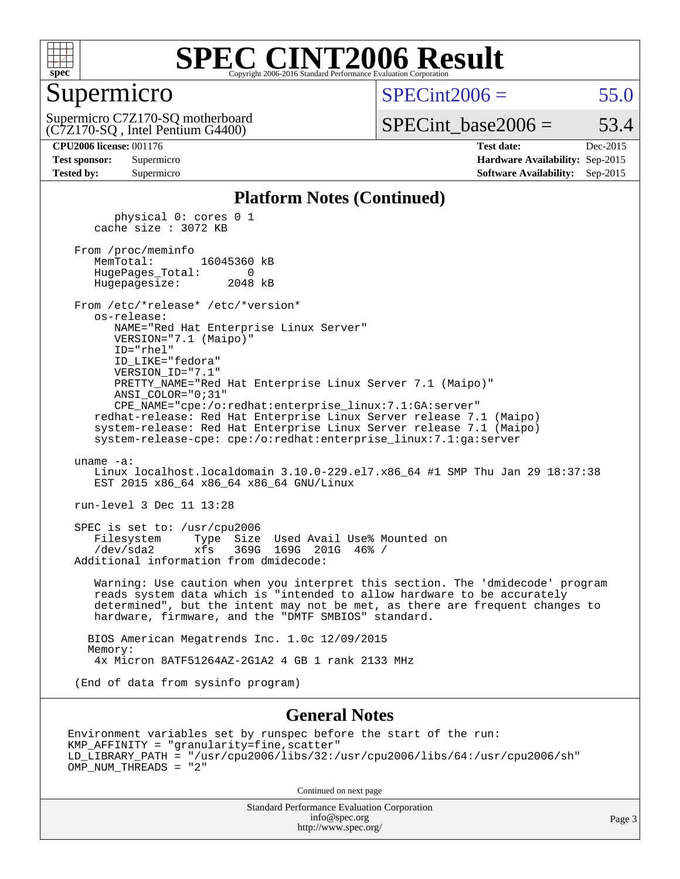

#### Supermicro

 $SPECint2006 = 55.0$  $SPECint2006 = 55.0$ 

(C7Z170-SQ , Intel Pentium G4400) Supermicro C7Z170-SQ motherboard  $SPECTnt\_base2006 = 53.4$ 

**[Tested by:](http://www.spec.org/auto/cpu2006/Docs/result-fields.html#Testedby)** Supermicro **Supermicro [Software Availability:](http://www.spec.org/auto/cpu2006/Docs/result-fields.html#SoftwareAvailability)** Sep-2015

**[CPU2006 license:](http://www.spec.org/auto/cpu2006/Docs/result-fields.html#CPU2006license)** 001176 **[Test date:](http://www.spec.org/auto/cpu2006/Docs/result-fields.html#Testdate)** Dec-2015 **[Test sponsor:](http://www.spec.org/auto/cpu2006/Docs/result-fields.html#Testsponsor)** Supermicro **[Hardware Availability:](http://www.spec.org/auto/cpu2006/Docs/result-fields.html#HardwareAvailability)** Sep-2015

#### **[Platform Notes \(Continued\)](http://www.spec.org/auto/cpu2006/Docs/result-fields.html#PlatformNotes)**

 physical 0: cores 0 1 cache size : 3072 KB From /proc/meminfo MemTotal: 16045360 kB HugePages\_Total: 0 Hugepagesize: 2048 kB From /etc/\*release\* /etc/\*version\* os-release: NAME="Red Hat Enterprise Linux Server" VERSION="7.1 (Maipo)" ID="rhel" ID\_LIKE="fedora" VERSION\_ID="7.1" PRETTY\_NAME="Red Hat Enterprise Linux Server 7.1 (Maipo)" ANSI\_COLOR="0;31" CPE\_NAME="cpe:/o:redhat:enterprise\_linux:7.1:GA:server" redhat-release: Red Hat Enterprise Linux Server release 7.1 (Maipo) system-release: Red Hat Enterprise Linux Server release 7.1 (Maipo) system-release-cpe: cpe:/o:redhat:enterprise\_linux:7.1:ga:server uname -a: Linux localhost.localdomain 3.10.0-229.el7.x86\_64 #1 SMP Thu Jan 29 18:37:38 EST 2015 x86 64 x86 64 x86 64 GNU/Linux run-level 3 Dec 11 13:28 SPEC is set to: /usr/cpu2006 Filesystem Type Size Used Avail Use% Mounted on /dev/sda2 xfs 369G 169G 201G 46% / Additional information from dmidecode: Warning: Use caution when you interpret this section. The 'dmidecode' program reads system data which is "intended to allow hardware to be accurately determined", but the intent may not be met, as there are frequent changes to hardware, firmware, and the "DMTF SMBIOS" standard. BIOS American Megatrends Inc. 1.0c 12/09/2015 Memory: 4x Micron 8ATF51264AZ-2G1A2 4 GB 1 rank 2133 MHz (End of data from sysinfo program)

#### **[General Notes](http://www.spec.org/auto/cpu2006/Docs/result-fields.html#GeneralNotes)**

Environment variables set by runspec before the start of the run: KMP\_AFFINITY = "granularity=fine,scatter" LD\_LIBRARY\_PATH = "/usr/cpu2006/libs/32:/usr/cpu2006/libs/64:/usr/cpu2006/sh" OMP\_NUM\_THREADS = "2"

Continued on next page

Standard Performance Evaluation Corporation [info@spec.org](mailto:info@spec.org) <http://www.spec.org/>

Page 3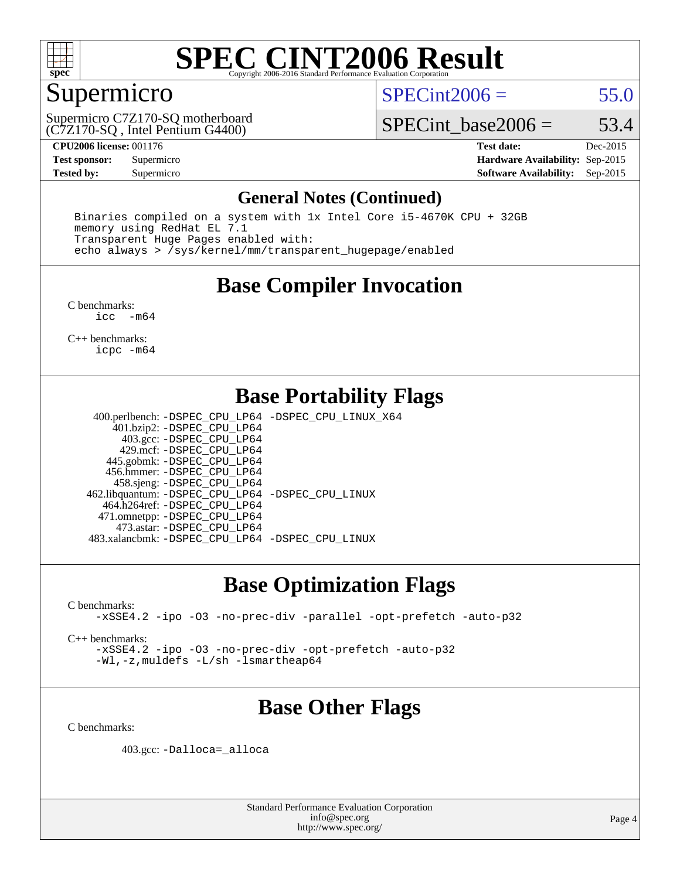

#### Supermicro

 $SPECint2006 = 55.0$  $SPECint2006 = 55.0$ 

(C7Z170-SQ , Intel Pentium G4400) Supermicro C7Z170-SQ motherboard

SPECint base2006 =  $53.4$ 

**[CPU2006 license:](http://www.spec.org/auto/cpu2006/Docs/result-fields.html#CPU2006license)** 001176 **[Test date:](http://www.spec.org/auto/cpu2006/Docs/result-fields.html#Testdate)** Dec-2015 **[Test sponsor:](http://www.spec.org/auto/cpu2006/Docs/result-fields.html#Testsponsor)** Supermicro **[Hardware Availability:](http://www.spec.org/auto/cpu2006/Docs/result-fields.html#HardwareAvailability)** Sep-2015 **[Tested by:](http://www.spec.org/auto/cpu2006/Docs/result-fields.html#Testedby)** Supermicro **Supermicro [Software Availability:](http://www.spec.org/auto/cpu2006/Docs/result-fields.html#SoftwareAvailability)** Sep-2015

#### **[General Notes \(Continued\)](http://www.spec.org/auto/cpu2006/Docs/result-fields.html#GeneralNotes)**

 Binaries compiled on a system with 1x Intel Core i5-4670K CPU + 32GB memory using RedHat EL 7.1 Transparent Huge Pages enabled with: echo always > /sys/kernel/mm/transparent\_hugepage/enabled

## **[Base Compiler Invocation](http://www.spec.org/auto/cpu2006/Docs/result-fields.html#BaseCompilerInvocation)**

[C benchmarks](http://www.spec.org/auto/cpu2006/Docs/result-fields.html#Cbenchmarks): [icc -m64](http://www.spec.org/cpu2006/results/res2016q1/cpu2006-20151217-38449.flags.html#user_CCbase_intel_icc_64bit_f346026e86af2a669e726fe758c88044)

[C++ benchmarks:](http://www.spec.org/auto/cpu2006/Docs/result-fields.html#CXXbenchmarks) [icpc -m64](http://www.spec.org/cpu2006/results/res2016q1/cpu2006-20151217-38449.flags.html#user_CXXbase_intel_icpc_64bit_fc66a5337ce925472a5c54ad6a0de310)

## **[Base Portability Flags](http://www.spec.org/auto/cpu2006/Docs/result-fields.html#BasePortabilityFlags)**

 400.perlbench: [-DSPEC\\_CPU\\_LP64](http://www.spec.org/cpu2006/results/res2016q1/cpu2006-20151217-38449.flags.html#b400.perlbench_basePORTABILITY_DSPEC_CPU_LP64) [-DSPEC\\_CPU\\_LINUX\\_X64](http://www.spec.org/cpu2006/results/res2016q1/cpu2006-20151217-38449.flags.html#b400.perlbench_baseCPORTABILITY_DSPEC_CPU_LINUX_X64) 401.bzip2: [-DSPEC\\_CPU\\_LP64](http://www.spec.org/cpu2006/results/res2016q1/cpu2006-20151217-38449.flags.html#suite_basePORTABILITY401_bzip2_DSPEC_CPU_LP64) 403.gcc: [-DSPEC\\_CPU\\_LP64](http://www.spec.org/cpu2006/results/res2016q1/cpu2006-20151217-38449.flags.html#suite_basePORTABILITY403_gcc_DSPEC_CPU_LP64) 429.mcf: [-DSPEC\\_CPU\\_LP64](http://www.spec.org/cpu2006/results/res2016q1/cpu2006-20151217-38449.flags.html#suite_basePORTABILITY429_mcf_DSPEC_CPU_LP64) 445.gobmk: [-DSPEC\\_CPU\\_LP64](http://www.spec.org/cpu2006/results/res2016q1/cpu2006-20151217-38449.flags.html#suite_basePORTABILITY445_gobmk_DSPEC_CPU_LP64) 456.hmmer: [-DSPEC\\_CPU\\_LP64](http://www.spec.org/cpu2006/results/res2016q1/cpu2006-20151217-38449.flags.html#suite_basePORTABILITY456_hmmer_DSPEC_CPU_LP64) 458.sjeng: [-DSPEC\\_CPU\\_LP64](http://www.spec.org/cpu2006/results/res2016q1/cpu2006-20151217-38449.flags.html#suite_basePORTABILITY458_sjeng_DSPEC_CPU_LP64) 462.libquantum: [-DSPEC\\_CPU\\_LP64](http://www.spec.org/cpu2006/results/res2016q1/cpu2006-20151217-38449.flags.html#suite_basePORTABILITY462_libquantum_DSPEC_CPU_LP64) [-DSPEC\\_CPU\\_LINUX](http://www.spec.org/cpu2006/results/res2016q1/cpu2006-20151217-38449.flags.html#b462.libquantum_baseCPORTABILITY_DSPEC_CPU_LINUX) 464.h264ref: [-DSPEC\\_CPU\\_LP64](http://www.spec.org/cpu2006/results/res2016q1/cpu2006-20151217-38449.flags.html#suite_basePORTABILITY464_h264ref_DSPEC_CPU_LP64) 471.omnetpp: [-DSPEC\\_CPU\\_LP64](http://www.spec.org/cpu2006/results/res2016q1/cpu2006-20151217-38449.flags.html#suite_basePORTABILITY471_omnetpp_DSPEC_CPU_LP64) 473.astar: [-DSPEC\\_CPU\\_LP64](http://www.spec.org/cpu2006/results/res2016q1/cpu2006-20151217-38449.flags.html#suite_basePORTABILITY473_astar_DSPEC_CPU_LP64) 483.xalancbmk: [-DSPEC\\_CPU\\_LP64](http://www.spec.org/cpu2006/results/res2016q1/cpu2006-20151217-38449.flags.html#suite_basePORTABILITY483_xalancbmk_DSPEC_CPU_LP64) [-DSPEC\\_CPU\\_LINUX](http://www.spec.org/cpu2006/results/res2016q1/cpu2006-20151217-38449.flags.html#b483.xalancbmk_baseCXXPORTABILITY_DSPEC_CPU_LINUX)

#### **[Base Optimization Flags](http://www.spec.org/auto/cpu2006/Docs/result-fields.html#BaseOptimizationFlags)**

[C benchmarks](http://www.spec.org/auto/cpu2006/Docs/result-fields.html#Cbenchmarks): [-xSSE4.2](http://www.spec.org/cpu2006/results/res2016q1/cpu2006-20151217-38449.flags.html#user_CCbase_f-xSSE42_f91528193cf0b216347adb8b939d4107) [-ipo](http://www.spec.org/cpu2006/results/res2016q1/cpu2006-20151217-38449.flags.html#user_CCbase_f-ipo) [-O3](http://www.spec.org/cpu2006/results/res2016q1/cpu2006-20151217-38449.flags.html#user_CCbase_f-O3) [-no-prec-div](http://www.spec.org/cpu2006/results/res2016q1/cpu2006-20151217-38449.flags.html#user_CCbase_f-no-prec-div) [-parallel](http://www.spec.org/cpu2006/results/res2016q1/cpu2006-20151217-38449.flags.html#user_CCbase_f-parallel) [-opt-prefetch](http://www.spec.org/cpu2006/results/res2016q1/cpu2006-20151217-38449.flags.html#user_CCbase_f-opt-prefetch) [-auto-p32](http://www.spec.org/cpu2006/results/res2016q1/cpu2006-20151217-38449.flags.html#user_CCbase_f-auto-p32)

[C++ benchmarks:](http://www.spec.org/auto/cpu2006/Docs/result-fields.html#CXXbenchmarks)

[-xSSE4.2](http://www.spec.org/cpu2006/results/res2016q1/cpu2006-20151217-38449.flags.html#user_CXXbase_f-xSSE42_f91528193cf0b216347adb8b939d4107) [-ipo](http://www.spec.org/cpu2006/results/res2016q1/cpu2006-20151217-38449.flags.html#user_CXXbase_f-ipo) [-O3](http://www.spec.org/cpu2006/results/res2016q1/cpu2006-20151217-38449.flags.html#user_CXXbase_f-O3) [-no-prec-div](http://www.spec.org/cpu2006/results/res2016q1/cpu2006-20151217-38449.flags.html#user_CXXbase_f-no-prec-div) [-opt-prefetch](http://www.spec.org/cpu2006/results/res2016q1/cpu2006-20151217-38449.flags.html#user_CXXbase_f-opt-prefetch) [-auto-p32](http://www.spec.org/cpu2006/results/res2016q1/cpu2006-20151217-38449.flags.html#user_CXXbase_f-auto-p32) [-Wl,-z,muldefs](http://www.spec.org/cpu2006/results/res2016q1/cpu2006-20151217-38449.flags.html#user_CXXbase_link_force_multiple1_74079c344b956b9658436fd1b6dd3a8a) [-L/sh -lsmartheap64](http://www.spec.org/cpu2006/results/res2016q1/cpu2006-20151217-38449.flags.html#user_CXXbase_SmartHeap64_ed4ef857ce90951921efb0d91eb88472)

## **[Base Other Flags](http://www.spec.org/auto/cpu2006/Docs/result-fields.html#BaseOtherFlags)**

[C benchmarks](http://www.spec.org/auto/cpu2006/Docs/result-fields.html#Cbenchmarks):

403.gcc: [-Dalloca=\\_alloca](http://www.spec.org/cpu2006/results/res2016q1/cpu2006-20151217-38449.flags.html#b403.gcc_baseEXTRA_CFLAGS_Dalloca_be3056838c12de2578596ca5467af7f3)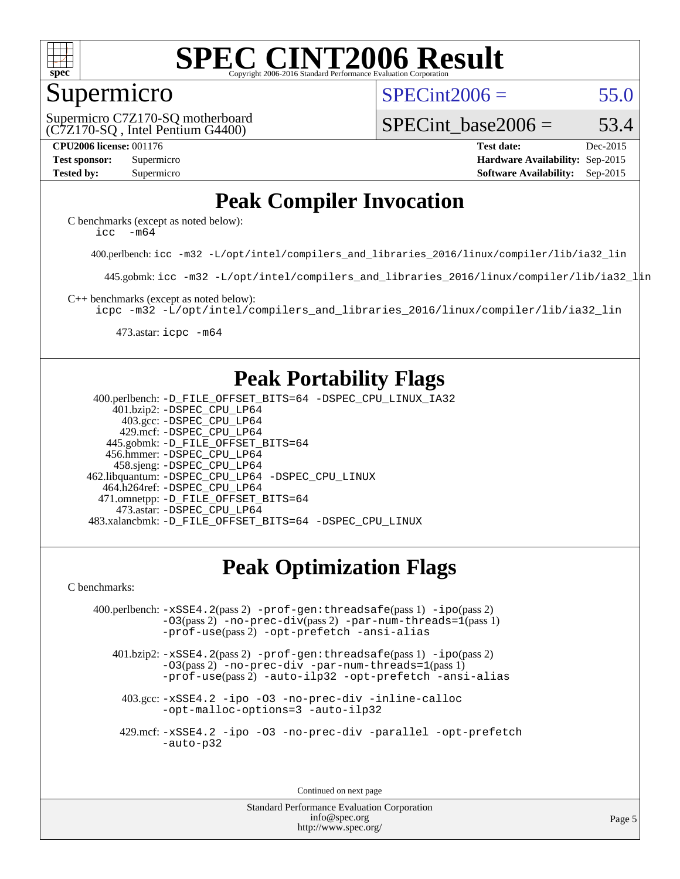

#### Supermicro

 $SPECint2006 = 55.0$  $SPECint2006 = 55.0$ 

(C7Z170-SQ , Intel Pentium G4400) Supermicro C7Z170-SQ motherboard SPECint base2006 =  $53.4$ 

**[CPU2006 license:](http://www.spec.org/auto/cpu2006/Docs/result-fields.html#CPU2006license)** 001176 **[Test date:](http://www.spec.org/auto/cpu2006/Docs/result-fields.html#Testdate)** Dec-2015 **[Test sponsor:](http://www.spec.org/auto/cpu2006/Docs/result-fields.html#Testsponsor)** Supermicro **[Hardware Availability:](http://www.spec.org/auto/cpu2006/Docs/result-fields.html#HardwareAvailability)** Sep-2015 **[Tested by:](http://www.spec.org/auto/cpu2006/Docs/result-fields.html#Testedby)** Supermicro **Supermicro [Software Availability:](http://www.spec.org/auto/cpu2006/Docs/result-fields.html#SoftwareAvailability)** Sep-2015

## **[Peak Compiler Invocation](http://www.spec.org/auto/cpu2006/Docs/result-fields.html#PeakCompilerInvocation)**

[C benchmarks \(except as noted below\)](http://www.spec.org/auto/cpu2006/Docs/result-fields.html#Cbenchmarksexceptasnotedbelow): [icc -m64](http://www.spec.org/cpu2006/results/res2016q1/cpu2006-20151217-38449.flags.html#user_CCpeak_intel_icc_64bit_f346026e86af2a669e726fe758c88044)

400.perlbench: [icc -m32 -L/opt/intel/compilers\\_and\\_libraries\\_2016/linux/compiler/lib/ia32\\_lin](http://www.spec.org/cpu2006/results/res2016q1/cpu2006-20151217-38449.flags.html#user_peakCCLD400_perlbench_intel_icc_e10256ba5924b668798078a321b0cb3f)

445.gobmk: [icc -m32 -L/opt/intel/compilers\\_and\\_libraries\\_2016/linux/compiler/lib/ia32\\_lin](http://www.spec.org/cpu2006/results/res2016q1/cpu2006-20151217-38449.flags.html#user_peakCCLD445_gobmk_intel_icc_e10256ba5924b668798078a321b0cb3f)

[C++ benchmarks \(except as noted below\):](http://www.spec.org/auto/cpu2006/Docs/result-fields.html#CXXbenchmarksexceptasnotedbelow)

[icpc -m32 -L/opt/intel/compilers\\_and\\_libraries\\_2016/linux/compiler/lib/ia32\\_lin](http://www.spec.org/cpu2006/results/res2016q1/cpu2006-20151217-38449.flags.html#user_CXXpeak_intel_icpc_b4f50a394bdb4597aa5879c16bc3f5c5)

473.astar: [icpc -m64](http://www.spec.org/cpu2006/results/res2016q1/cpu2006-20151217-38449.flags.html#user_peakCXXLD473_astar_intel_icpc_64bit_fc66a5337ce925472a5c54ad6a0de310)

## **[Peak Portability Flags](http://www.spec.org/auto/cpu2006/Docs/result-fields.html#PeakPortabilityFlags)**

 400.perlbench: [-D\\_FILE\\_OFFSET\\_BITS=64](http://www.spec.org/cpu2006/results/res2016q1/cpu2006-20151217-38449.flags.html#user_peakPORTABILITY400_perlbench_file_offset_bits_64_438cf9856305ebd76870a2c6dc2689ab) [-DSPEC\\_CPU\\_LINUX\\_IA32](http://www.spec.org/cpu2006/results/res2016q1/cpu2006-20151217-38449.flags.html#b400.perlbench_peakCPORTABILITY_DSPEC_CPU_LINUX_IA32) 401.bzip2: [-DSPEC\\_CPU\\_LP64](http://www.spec.org/cpu2006/results/res2016q1/cpu2006-20151217-38449.flags.html#suite_peakPORTABILITY401_bzip2_DSPEC_CPU_LP64) 403.gcc: [-DSPEC\\_CPU\\_LP64](http://www.spec.org/cpu2006/results/res2016q1/cpu2006-20151217-38449.flags.html#suite_peakPORTABILITY403_gcc_DSPEC_CPU_LP64) 429.mcf: [-DSPEC\\_CPU\\_LP64](http://www.spec.org/cpu2006/results/res2016q1/cpu2006-20151217-38449.flags.html#suite_peakPORTABILITY429_mcf_DSPEC_CPU_LP64) 445.gobmk: [-D\\_FILE\\_OFFSET\\_BITS=64](http://www.spec.org/cpu2006/results/res2016q1/cpu2006-20151217-38449.flags.html#user_peakPORTABILITY445_gobmk_file_offset_bits_64_438cf9856305ebd76870a2c6dc2689ab) 456.hmmer: [-DSPEC\\_CPU\\_LP64](http://www.spec.org/cpu2006/results/res2016q1/cpu2006-20151217-38449.flags.html#suite_peakPORTABILITY456_hmmer_DSPEC_CPU_LP64) 458.sjeng: [-DSPEC\\_CPU\\_LP64](http://www.spec.org/cpu2006/results/res2016q1/cpu2006-20151217-38449.flags.html#suite_peakPORTABILITY458_sjeng_DSPEC_CPU_LP64) 462.libquantum: [-DSPEC\\_CPU\\_LP64](http://www.spec.org/cpu2006/results/res2016q1/cpu2006-20151217-38449.flags.html#suite_peakPORTABILITY462_libquantum_DSPEC_CPU_LP64) [-DSPEC\\_CPU\\_LINUX](http://www.spec.org/cpu2006/results/res2016q1/cpu2006-20151217-38449.flags.html#b462.libquantum_peakCPORTABILITY_DSPEC_CPU_LINUX) 464.h264ref: [-DSPEC\\_CPU\\_LP64](http://www.spec.org/cpu2006/results/res2016q1/cpu2006-20151217-38449.flags.html#suite_peakPORTABILITY464_h264ref_DSPEC_CPU_LP64) 471.omnetpp: [-D\\_FILE\\_OFFSET\\_BITS=64](http://www.spec.org/cpu2006/results/res2016q1/cpu2006-20151217-38449.flags.html#user_peakPORTABILITY471_omnetpp_file_offset_bits_64_438cf9856305ebd76870a2c6dc2689ab) 473.astar: [-DSPEC\\_CPU\\_LP64](http://www.spec.org/cpu2006/results/res2016q1/cpu2006-20151217-38449.flags.html#suite_peakPORTABILITY473_astar_DSPEC_CPU_LP64) 483.xalancbmk: [-D\\_FILE\\_OFFSET\\_BITS=64](http://www.spec.org/cpu2006/results/res2016q1/cpu2006-20151217-38449.flags.html#user_peakPORTABILITY483_xalancbmk_file_offset_bits_64_438cf9856305ebd76870a2c6dc2689ab) [-DSPEC\\_CPU\\_LINUX](http://www.spec.org/cpu2006/results/res2016q1/cpu2006-20151217-38449.flags.html#b483.xalancbmk_peakCXXPORTABILITY_DSPEC_CPU_LINUX)

## **[Peak Optimization Flags](http://www.spec.org/auto/cpu2006/Docs/result-fields.html#PeakOptimizationFlags)**

[C benchmarks](http://www.spec.org/auto/cpu2006/Docs/result-fields.html#Cbenchmarks):

 400.perlbench: [-xSSE4.2](http://www.spec.org/cpu2006/results/res2016q1/cpu2006-20151217-38449.flags.html#user_peakPASS2_CFLAGSPASS2_LDCFLAGS400_perlbench_f-xSSE42_f91528193cf0b216347adb8b939d4107)(pass 2) [-prof-gen:threadsafe](http://www.spec.org/cpu2006/results/res2016q1/cpu2006-20151217-38449.flags.html#user_peakPASS1_CFLAGSPASS1_LDCFLAGS400_perlbench_prof_gen_21a26eb79f378b550acd7bec9fe4467a)(pass 1) [-ipo](http://www.spec.org/cpu2006/results/res2016q1/cpu2006-20151217-38449.flags.html#user_peakPASS2_CFLAGSPASS2_LDCFLAGS400_perlbench_f-ipo)(pass 2) [-O3](http://www.spec.org/cpu2006/results/res2016q1/cpu2006-20151217-38449.flags.html#user_peakPASS2_CFLAGSPASS2_LDCFLAGS400_perlbench_f-O3)(pass 2) [-no-prec-div](http://www.spec.org/cpu2006/results/res2016q1/cpu2006-20151217-38449.flags.html#user_peakPASS2_CFLAGSPASS2_LDCFLAGS400_perlbench_f-no-prec-div)(pass 2) [-par-num-threads=1](http://www.spec.org/cpu2006/results/res2016q1/cpu2006-20151217-38449.flags.html#user_peakPASS1_CFLAGSPASS1_LDCFLAGS400_perlbench_par_num_threads_786a6ff141b4e9e90432e998842df6c2)(pass 1) [-prof-use](http://www.spec.org/cpu2006/results/res2016q1/cpu2006-20151217-38449.flags.html#user_peakPASS2_CFLAGSPASS2_LDCFLAGS400_perlbench_prof_use_bccf7792157ff70d64e32fe3e1250b55)(pass 2) [-opt-prefetch](http://www.spec.org/cpu2006/results/res2016q1/cpu2006-20151217-38449.flags.html#user_peakCOPTIMIZE400_perlbench_f-opt-prefetch) [-ansi-alias](http://www.spec.org/cpu2006/results/res2016q1/cpu2006-20151217-38449.flags.html#user_peakCOPTIMIZE400_perlbench_f-ansi-alias)

 401.bzip2: [-xSSE4.2](http://www.spec.org/cpu2006/results/res2016q1/cpu2006-20151217-38449.flags.html#user_peakPASS2_CFLAGSPASS2_LDCFLAGS401_bzip2_f-xSSE42_f91528193cf0b216347adb8b939d4107)(pass 2) [-prof-gen:threadsafe](http://www.spec.org/cpu2006/results/res2016q1/cpu2006-20151217-38449.flags.html#user_peakPASS1_CFLAGSPASS1_LDCFLAGS401_bzip2_prof_gen_21a26eb79f378b550acd7bec9fe4467a)(pass 1) [-ipo](http://www.spec.org/cpu2006/results/res2016q1/cpu2006-20151217-38449.flags.html#user_peakPASS2_CFLAGSPASS2_LDCFLAGS401_bzip2_f-ipo)(pass 2) [-O3](http://www.spec.org/cpu2006/results/res2016q1/cpu2006-20151217-38449.flags.html#user_peakPASS2_CFLAGSPASS2_LDCFLAGS401_bzip2_f-O3)(pass 2) [-no-prec-div](http://www.spec.org/cpu2006/results/res2016q1/cpu2006-20151217-38449.flags.html#user_peakCOPTIMIZEPASS2_CFLAGSPASS2_LDCFLAGS401_bzip2_f-no-prec-div) [-par-num-threads=1](http://www.spec.org/cpu2006/results/res2016q1/cpu2006-20151217-38449.flags.html#user_peakPASS1_CFLAGSPASS1_LDCFLAGS401_bzip2_par_num_threads_786a6ff141b4e9e90432e998842df6c2)(pass 1) [-prof-use](http://www.spec.org/cpu2006/results/res2016q1/cpu2006-20151217-38449.flags.html#user_peakPASS2_CFLAGSPASS2_LDCFLAGS401_bzip2_prof_use_bccf7792157ff70d64e32fe3e1250b55)(pass 2) [-auto-ilp32](http://www.spec.org/cpu2006/results/res2016q1/cpu2006-20151217-38449.flags.html#user_peakCOPTIMIZE401_bzip2_f-auto-ilp32) [-opt-prefetch](http://www.spec.org/cpu2006/results/res2016q1/cpu2006-20151217-38449.flags.html#user_peakCOPTIMIZE401_bzip2_f-opt-prefetch) [-ansi-alias](http://www.spec.org/cpu2006/results/res2016q1/cpu2006-20151217-38449.flags.html#user_peakCOPTIMIZE401_bzip2_f-ansi-alias)

 403.gcc: [-xSSE4.2](http://www.spec.org/cpu2006/results/res2016q1/cpu2006-20151217-38449.flags.html#user_peakCOPTIMIZE403_gcc_f-xSSE42_f91528193cf0b216347adb8b939d4107) [-ipo](http://www.spec.org/cpu2006/results/res2016q1/cpu2006-20151217-38449.flags.html#user_peakCOPTIMIZE403_gcc_f-ipo) [-O3](http://www.spec.org/cpu2006/results/res2016q1/cpu2006-20151217-38449.flags.html#user_peakCOPTIMIZE403_gcc_f-O3) [-no-prec-div](http://www.spec.org/cpu2006/results/res2016q1/cpu2006-20151217-38449.flags.html#user_peakCOPTIMIZE403_gcc_f-no-prec-div) [-inline-calloc](http://www.spec.org/cpu2006/results/res2016q1/cpu2006-20151217-38449.flags.html#user_peakCOPTIMIZE403_gcc_f-inline-calloc) [-opt-malloc-options=3](http://www.spec.org/cpu2006/results/res2016q1/cpu2006-20151217-38449.flags.html#user_peakCOPTIMIZE403_gcc_f-opt-malloc-options_13ab9b803cf986b4ee62f0a5998c2238) [-auto-ilp32](http://www.spec.org/cpu2006/results/res2016q1/cpu2006-20151217-38449.flags.html#user_peakCOPTIMIZE403_gcc_f-auto-ilp32)

 429.mcf: [-xSSE4.2](http://www.spec.org/cpu2006/results/res2016q1/cpu2006-20151217-38449.flags.html#user_peakCOPTIMIZE429_mcf_f-xSSE42_f91528193cf0b216347adb8b939d4107) [-ipo](http://www.spec.org/cpu2006/results/res2016q1/cpu2006-20151217-38449.flags.html#user_peakCOPTIMIZE429_mcf_f-ipo) [-O3](http://www.spec.org/cpu2006/results/res2016q1/cpu2006-20151217-38449.flags.html#user_peakCOPTIMIZE429_mcf_f-O3) [-no-prec-div](http://www.spec.org/cpu2006/results/res2016q1/cpu2006-20151217-38449.flags.html#user_peakCOPTIMIZE429_mcf_f-no-prec-div) [-parallel](http://www.spec.org/cpu2006/results/res2016q1/cpu2006-20151217-38449.flags.html#user_peakCOPTIMIZE429_mcf_f-parallel) [-opt-prefetch](http://www.spec.org/cpu2006/results/res2016q1/cpu2006-20151217-38449.flags.html#user_peakCOPTIMIZE429_mcf_f-opt-prefetch) [-auto-p32](http://www.spec.org/cpu2006/results/res2016q1/cpu2006-20151217-38449.flags.html#user_peakCOPTIMIZE429_mcf_f-auto-p32)

Continued on next page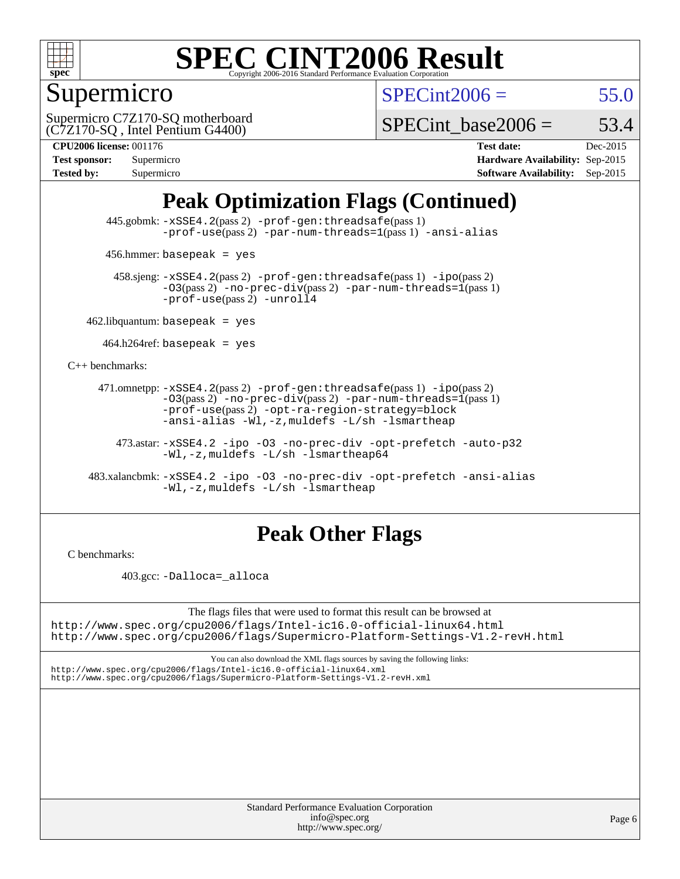

# Supermicro

 $SPECint2006 = 55.0$  $SPECint2006 = 55.0$ 

(C7Z170-SQ , Intel Pentium G4400) Supermicro C7Z170-SQ motherboard

SPECint base2006 =  $53.4$ 

| <b>Test sponsor:</b> | Supermicro |
|----------------------|------------|
| <b>Tested by:</b>    | Supermicro |

**[CPU2006 license:](http://www.spec.org/auto/cpu2006/Docs/result-fields.html#CPU2006license)** 001176 **[Test date:](http://www.spec.org/auto/cpu2006/Docs/result-fields.html#Testdate)** Dec-2015 **[Hardware Availability:](http://www.spec.org/auto/cpu2006/Docs/result-fields.html#HardwareAvailability)** Sep-2015 **[Software Availability:](http://www.spec.org/auto/cpu2006/Docs/result-fields.html#SoftwareAvailability)** Sep-2015

## **[Peak Optimization Flags \(Continued\)](http://www.spec.org/auto/cpu2006/Docs/result-fields.html#PeakOptimizationFlags)**

 445.gobmk: [-xSSE4.2](http://www.spec.org/cpu2006/results/res2016q1/cpu2006-20151217-38449.flags.html#user_peakPASS2_CFLAGSPASS2_LDCFLAGS445_gobmk_f-xSSE42_f91528193cf0b216347adb8b939d4107)(pass 2) [-prof-gen:threadsafe](http://www.spec.org/cpu2006/results/res2016q1/cpu2006-20151217-38449.flags.html#user_peakPASS1_CFLAGSPASS1_LDCFLAGS445_gobmk_prof_gen_21a26eb79f378b550acd7bec9fe4467a)(pass 1) [-prof-use](http://www.spec.org/cpu2006/results/res2016q1/cpu2006-20151217-38449.flags.html#user_peakPASS2_CFLAGSPASS2_LDCFLAGS445_gobmk_prof_use_bccf7792157ff70d64e32fe3e1250b55)(pass2) [-par-num-threads=1](http://www.spec.org/cpu2006/results/res2016q1/cpu2006-20151217-38449.flags.html#user_peakPASS1_CFLAGSPASS1_LDCFLAGS445_gobmk_par_num_threads_786a6ff141b4e9e90432e998842df6c2)(pass1) [-ansi-alias](http://www.spec.org/cpu2006/results/res2016q1/cpu2006-20151217-38449.flags.html#user_peakCOPTIMIZE445_gobmk_f-ansi-alias)

456.hmmer: basepeak = yes

 458.sjeng: [-xSSE4.2](http://www.spec.org/cpu2006/results/res2016q1/cpu2006-20151217-38449.flags.html#user_peakPASS2_CFLAGSPASS2_LDCFLAGS458_sjeng_f-xSSE42_f91528193cf0b216347adb8b939d4107)(pass 2) [-prof-gen:threadsafe](http://www.spec.org/cpu2006/results/res2016q1/cpu2006-20151217-38449.flags.html#user_peakPASS1_CFLAGSPASS1_LDCFLAGS458_sjeng_prof_gen_21a26eb79f378b550acd7bec9fe4467a)(pass 1) [-ipo](http://www.spec.org/cpu2006/results/res2016q1/cpu2006-20151217-38449.flags.html#user_peakPASS2_CFLAGSPASS2_LDCFLAGS458_sjeng_f-ipo)(pass 2)  $-03$ (pass 2)  $-$ no-prec-div(pass 2) [-par-num-threads=1](http://www.spec.org/cpu2006/results/res2016q1/cpu2006-20151217-38449.flags.html#user_peakPASS1_CFLAGSPASS1_LDCFLAGS458_sjeng_par_num_threads_786a6ff141b4e9e90432e998842df6c2)(pass 1) [-prof-use](http://www.spec.org/cpu2006/results/res2016q1/cpu2006-20151217-38449.flags.html#user_peakPASS2_CFLAGSPASS2_LDCFLAGS458_sjeng_prof_use_bccf7792157ff70d64e32fe3e1250b55)(pass 2) [-unroll4](http://www.spec.org/cpu2006/results/res2016q1/cpu2006-20151217-38449.flags.html#user_peakCOPTIMIZE458_sjeng_f-unroll_4e5e4ed65b7fd20bdcd365bec371b81f)

 $462$ .libquantum: basepeak = yes

 $464.h264$ ref: basepeak = yes

[C++ benchmarks:](http://www.spec.org/auto/cpu2006/Docs/result-fields.html#CXXbenchmarks)

 471.omnetpp: [-xSSE4.2](http://www.spec.org/cpu2006/results/res2016q1/cpu2006-20151217-38449.flags.html#user_peakPASS2_CXXFLAGSPASS2_LDCXXFLAGS471_omnetpp_f-xSSE42_f91528193cf0b216347adb8b939d4107)(pass 2) [-prof-gen:threadsafe](http://www.spec.org/cpu2006/results/res2016q1/cpu2006-20151217-38449.flags.html#user_peakPASS1_CXXFLAGSPASS1_LDCXXFLAGS471_omnetpp_prof_gen_21a26eb79f378b550acd7bec9fe4467a)(pass 1) [-ipo](http://www.spec.org/cpu2006/results/res2016q1/cpu2006-20151217-38449.flags.html#user_peakPASS2_CXXFLAGSPASS2_LDCXXFLAGS471_omnetpp_f-ipo)(pass 2)  $-03(pass 2)$  [-no-prec-div](http://www.spec.org/cpu2006/results/res2016q1/cpu2006-20151217-38449.flags.html#user_peakPASS2_CXXFLAGSPASS2_LDCXXFLAGS471_omnetpp_f-no-prec-div)(pass 2) [-par-num-threads=1](http://www.spec.org/cpu2006/results/res2016q1/cpu2006-20151217-38449.flags.html#user_peakPASS1_CXXFLAGSPASS1_LDCXXFLAGS471_omnetpp_par_num_threads_786a6ff141b4e9e90432e998842df6c2)(pass 1) [-prof-use](http://www.spec.org/cpu2006/results/res2016q1/cpu2006-20151217-38449.flags.html#user_peakPASS2_CXXFLAGSPASS2_LDCXXFLAGS471_omnetpp_prof_use_bccf7792157ff70d64e32fe3e1250b55)(pass 2) [-opt-ra-region-strategy=block](http://www.spec.org/cpu2006/results/res2016q1/cpu2006-20151217-38449.flags.html#user_peakCXXOPTIMIZE471_omnetpp_f-opt-ra-region-strategy_5382940c29ea30302d682fc74bfe0147)  [-ansi-alias](http://www.spec.org/cpu2006/results/res2016q1/cpu2006-20151217-38449.flags.html#user_peakCXXOPTIMIZE471_omnetpp_f-ansi-alias) [-Wl,-z,muldefs](http://www.spec.org/cpu2006/results/res2016q1/cpu2006-20151217-38449.flags.html#user_peakEXTRA_LDFLAGS471_omnetpp_link_force_multiple1_74079c344b956b9658436fd1b6dd3a8a) [-L/sh -lsmartheap](http://www.spec.org/cpu2006/results/res2016q1/cpu2006-20151217-38449.flags.html#user_peakEXTRA_LIBS471_omnetpp_SmartHeap_32f6c82aa1ed9c52345d30cf6e4a0499)

 473.astar: [-xSSE4.2](http://www.spec.org/cpu2006/results/res2016q1/cpu2006-20151217-38449.flags.html#user_peakCXXOPTIMIZE473_astar_f-xSSE42_f91528193cf0b216347adb8b939d4107) [-ipo](http://www.spec.org/cpu2006/results/res2016q1/cpu2006-20151217-38449.flags.html#user_peakCXXOPTIMIZE473_astar_f-ipo) [-O3](http://www.spec.org/cpu2006/results/res2016q1/cpu2006-20151217-38449.flags.html#user_peakCXXOPTIMIZE473_astar_f-O3) [-no-prec-div](http://www.spec.org/cpu2006/results/res2016q1/cpu2006-20151217-38449.flags.html#user_peakCXXOPTIMIZE473_astar_f-no-prec-div) [-opt-prefetch](http://www.spec.org/cpu2006/results/res2016q1/cpu2006-20151217-38449.flags.html#user_peakCXXOPTIMIZE473_astar_f-opt-prefetch) [-auto-p32](http://www.spec.org/cpu2006/results/res2016q1/cpu2006-20151217-38449.flags.html#user_peakCXXOPTIMIZE473_astar_f-auto-p32) [-Wl,-z,muldefs](http://www.spec.org/cpu2006/results/res2016q1/cpu2006-20151217-38449.flags.html#user_peakEXTRA_LDFLAGS473_astar_link_force_multiple1_74079c344b956b9658436fd1b6dd3a8a) [-L/sh -lsmartheap64](http://www.spec.org/cpu2006/results/res2016q1/cpu2006-20151217-38449.flags.html#user_peakEXTRA_LIBS473_astar_SmartHeap64_ed4ef857ce90951921efb0d91eb88472)

 483.xalancbmk: [-xSSE4.2](http://www.spec.org/cpu2006/results/res2016q1/cpu2006-20151217-38449.flags.html#user_peakCXXOPTIMIZE483_xalancbmk_f-xSSE42_f91528193cf0b216347adb8b939d4107) [-ipo](http://www.spec.org/cpu2006/results/res2016q1/cpu2006-20151217-38449.flags.html#user_peakCXXOPTIMIZE483_xalancbmk_f-ipo) [-O3](http://www.spec.org/cpu2006/results/res2016q1/cpu2006-20151217-38449.flags.html#user_peakCXXOPTIMIZE483_xalancbmk_f-O3) [-no-prec-div](http://www.spec.org/cpu2006/results/res2016q1/cpu2006-20151217-38449.flags.html#user_peakCXXOPTIMIZE483_xalancbmk_f-no-prec-div) [-opt-prefetch](http://www.spec.org/cpu2006/results/res2016q1/cpu2006-20151217-38449.flags.html#user_peakCXXOPTIMIZE483_xalancbmk_f-opt-prefetch) [-ansi-alias](http://www.spec.org/cpu2006/results/res2016q1/cpu2006-20151217-38449.flags.html#user_peakCXXOPTIMIZE483_xalancbmk_f-ansi-alias) [-Wl,-z,muldefs](http://www.spec.org/cpu2006/results/res2016q1/cpu2006-20151217-38449.flags.html#user_peakEXTRA_LDFLAGS483_xalancbmk_link_force_multiple1_74079c344b956b9658436fd1b6dd3a8a) [-L/sh -lsmartheap](http://www.spec.org/cpu2006/results/res2016q1/cpu2006-20151217-38449.flags.html#user_peakEXTRA_LIBS483_xalancbmk_SmartHeap_32f6c82aa1ed9c52345d30cf6e4a0499)

## **[Peak Other Flags](http://www.spec.org/auto/cpu2006/Docs/result-fields.html#PeakOtherFlags)**

[C benchmarks](http://www.spec.org/auto/cpu2006/Docs/result-fields.html#Cbenchmarks):

403.gcc: [-Dalloca=\\_alloca](http://www.spec.org/cpu2006/results/res2016q1/cpu2006-20151217-38449.flags.html#b403.gcc_peakEXTRA_CFLAGS_Dalloca_be3056838c12de2578596ca5467af7f3)

The flags files that were used to format this result can be browsed at <http://www.spec.org/cpu2006/flags/Intel-ic16.0-official-linux64.html> <http://www.spec.org/cpu2006/flags/Supermicro-Platform-Settings-V1.2-revH.html>

You can also download the XML flags sources by saving the following links: <http://www.spec.org/cpu2006/flags/Intel-ic16.0-official-linux64.xml>

<http://www.spec.org/cpu2006/flags/Supermicro-Platform-Settings-V1.2-revH.xml>